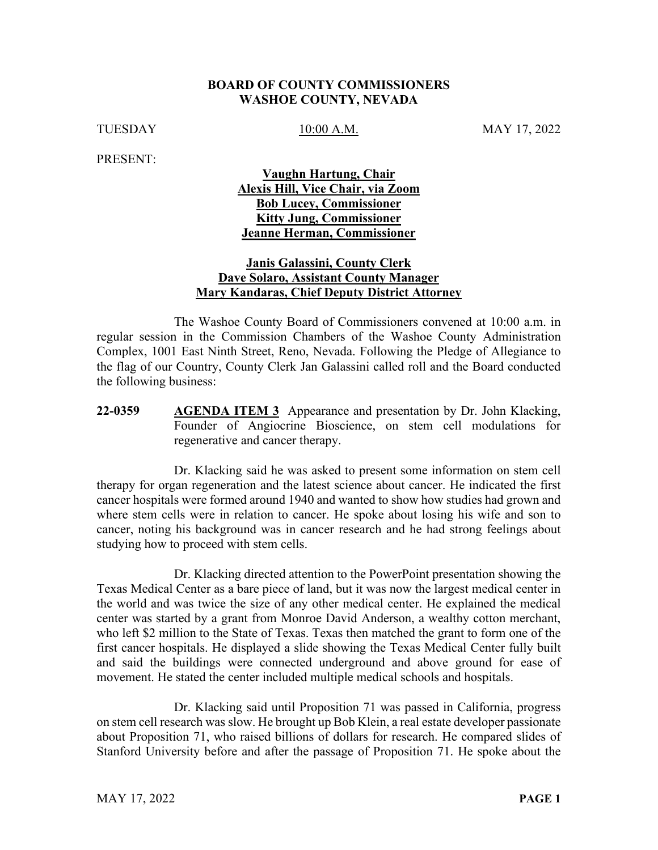#### **BOARD OF COUNTY COMMISSIONERS WASHOE COUNTY, NEVADA**

TUESDAY 10:00 A.M. MAY 17, 2022

PRESENT:

#### **Vaughn Hartung, Chair Alexis Hill, Vice Chair, via Zoom Bob Lucey, Commissioner Kitty Jung, Commissioner Jeanne Herman, Commissioner**

#### **Janis Galassini, County Clerk Dave Solaro, Assistant County Manager Mary Kandaras, Chief Deputy District Attorney**

The Washoe County Board of Commissioners convened at 10:00 a.m. in regular session in the Commission Chambers of the Washoe County Administration Complex, 1001 East Ninth Street, Reno, Nevada. Following the Pledge of Allegiance to the flag of our Country, County Clerk Jan Galassini called roll and the Board conducted the following business:

**22-0359 ••• AGENDA ITEM 3** Appearance and presentation by Dr. John Klacking, Founder of Angiocrine Bioscience, on stem cell modulations for regenerative and cancer therapy.

Dr. Klacking said he was asked to present some information on stem cell therapy for organ regeneration and the latest science about cancer. He indicated the first cancer hospitals were formed around 1940 and wanted to show how studies had grown and where stem cells were in relation to cancer. He spoke about losing his wife and son to cancer, noting his background was in cancer research and he had strong feelings about studying how to proceed with stem cells.

Dr. Klacking directed attention to the PowerPoint presentation showing the Texas Medical Center as a bare piece of land, but it was now the largest medical center in the world and was twice the size of any other medical center. He explained the medical center was started by a grant from Monroe David Anderson, a wealthy cotton merchant, who left \$2 million to the State of Texas. Texas then matched the grant to form one of the first cancer hospitals. He displayed a slide showing the Texas Medical Center fully built and said the buildings were connected underground and above ground for ease of movement. He stated the center included multiple medical schools and hospitals.

Dr. Klacking said until Proposition 71 was passed in California, progress on stem cell research was slow. He brought up Bob Klein, a real estate developer passionate about Proposition 71, who raised billions of dollars for research. He compared slides of Stanford University before and after the passage of Proposition 71. He spoke about the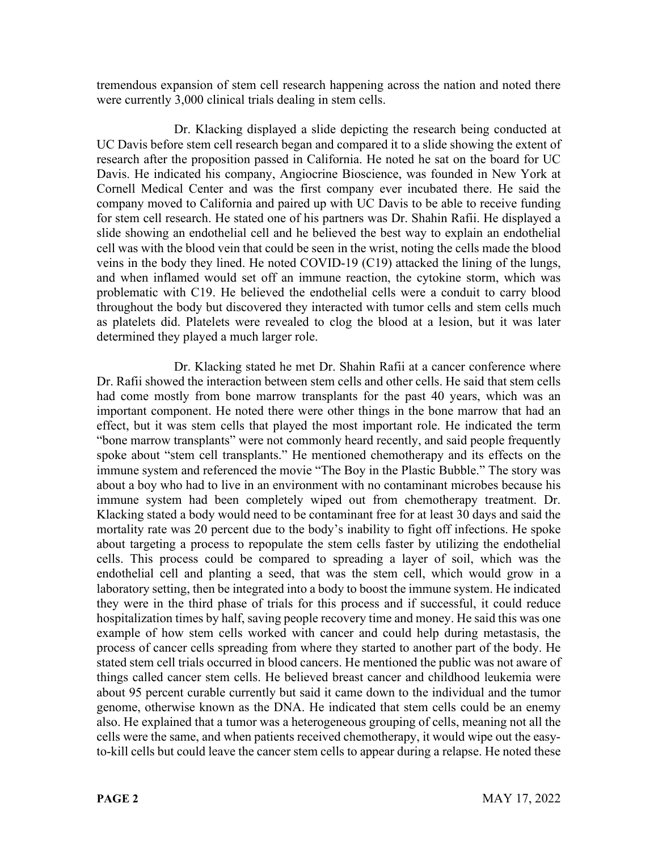tremendous expansion of stem cell research happening across the nation and noted there were currently 3,000 clinical trials dealing in stem cells.

Dr. Klacking displayed a slide depicting the research being conducted at UC Davis before stem cell research began and compared it to a slide showing the extent of research after the proposition passed in California. He noted he sat on the board for UC Davis. He indicated his company, Angiocrine Bioscience, was founded in New York at Cornell Medical Center and was the first company ever incubated there. He said the company moved to California and paired up with UC Davis to be able to receive funding for stem cell research. He stated one of his partners was Dr. Shahin Rafii. He displayed a slide showing an endothelial cell and he believed the best way to explain an endothelial cell was with the blood vein that could be seen in the wrist, noting the cells made the blood veins in the body they lined. He noted COVID-19 (C19) attacked the lining of the lungs, and when inflamed would set off an immune reaction, the cytokine storm, which was problematic with C19. He believed the endothelial cells were a conduit to carry blood throughout the body but discovered they interacted with tumor cells and stem cells much as platelets did. Platelets were revealed to clog the blood at a lesion, but it was later determined they played a much larger role.

Dr. Klacking stated he met Dr. Shahin Rafii at a cancer conference where Dr. Rafii showed the interaction between stem cells and other cells. He said that stem cells had come mostly from bone marrow transplants for the past 40 years, which was an important component. He noted there were other things in the bone marrow that had an effect, but it was stem cells that played the most important role. He indicated the term "bone marrow transplants" were not commonly heard recently, and said people frequently spoke about "stem cell transplants." He mentioned chemotherapy and its effects on the immune system and referenced the movie "The Boy in the Plastic Bubble." The story was about a boy who had to live in an environment with no contaminant microbes because his immune system had been completely wiped out from chemotherapy treatment. Dr. Klacking stated a body would need to be contaminant free for at least 30 days and said the mortality rate was 20 percent due to the body's inability to fight off infections. He spoke about targeting a process to repopulate the stem cells faster by utilizing the endothelial cells. This process could be compared to spreading a layer of soil, which was the endothelial cell and planting a seed, that was the stem cell, which would grow in a laboratory setting, then be integrated into a body to boost the immune system. He indicated they were in the third phase of trials for this process and if successful, it could reduce hospitalization times by half, saving people recovery time and money. He said this was one example of how stem cells worked with cancer and could help during metastasis, the process of cancer cells spreading from where they started to another part of the body. He stated stem cell trials occurred in blood cancers. He mentioned the public was not aware of things called cancer stem cells. He believed breast cancer and childhood leukemia were about 95 percent curable currently but said it came down to the individual and the tumor genome, otherwise known as the DNA. He indicated that stem cells could be an enemy also. He explained that a tumor was a heterogeneous grouping of cells, meaning not all the cells were the same, and when patients received chemotherapy, it would wipe out the easyto-kill cells but could leave the cancer stem cells to appear during a relapse. He noted these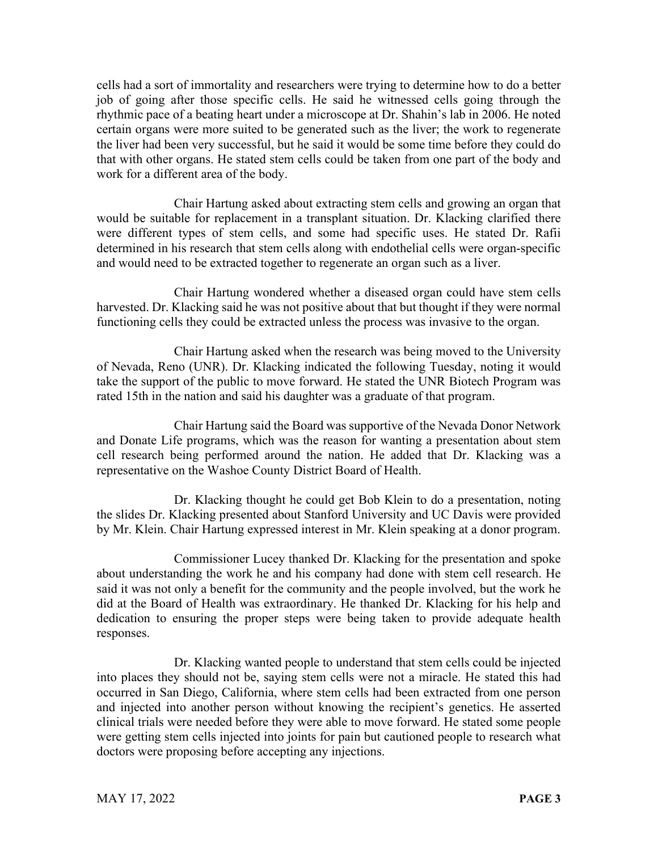cells had a sort of immortality and researchers were trying to determine how to do a better job of going after those specific cells. He said he witnessed cells going through the rhythmic pace of a beating heart under a microscope at Dr. Shahin's lab in 2006. He noted certain organs were more suited to be generated such as the liver; the work to regenerate the liver had been very successful, but he said it would be some time before they could do that with other organs. He stated stem cells could be taken from one part of the body and work for a different area of the body.

Chair Hartung asked about extracting stem cells and growing an organ that would be suitable for replacement in a transplant situation. Dr. Klacking clarified there were different types of stem cells, and some had specific uses. He stated Dr. Rafii determined in his research that stem cells along with endothelial cells were organ-specific and would need to be extracted together to regenerate an organ such as a liver.

Chair Hartung wondered whether a diseased organ could have stem cells harvested. Dr. Klacking said he was not positive about that but thought if they were normal functioning cells they could be extracted unless the process was invasive to the organ.

Chair Hartung asked when the research was being moved to the University of Nevada, Reno (UNR). Dr. Klacking indicated the following Tuesday, noting it would take the support of the public to move forward. He stated the UNR Biotech Program was rated 15th in the nation and said his daughter was a graduate of that program.

Chair Hartung said the Board was supportive of the Nevada Donor Network and Donate Life programs, which was the reason for wanting a presentation about stem cell research being performed around the nation. He added that Dr. Klacking was a representative on the Washoe County District Board of Health.

Dr. Klacking thought he could get Bob Klein to do a presentation, noting the slides Dr. Klacking presented about Stanford University and UC Davis were provided by Mr. Klein. Chair Hartung expressed interest in Mr. Klein speaking at a donor program.

Commissioner Lucey thanked Dr. Klacking for the presentation and spoke about understanding the work he and his company had done with stem cell research. He said it was not only a benefit for the community and the people involved, but the work he did at the Board of Health was extraordinary. He thanked Dr. Klacking for his help and dedication to ensuring the proper steps were being taken to provide adequate health responses.

Dr. Klacking wanted people to understand that stem cells could be injected into places they should not be, saying stem cells were not a miracle. He stated this had occurred in San Diego, California, where stem cells had been extracted from one person and injected into another person without knowing the recipient's genetics. He asserted clinical trials were needed before they were able to move forward. He stated some people were getting stem cells injected into joints for pain but cautioned people to research what doctors were proposing before accepting any injections.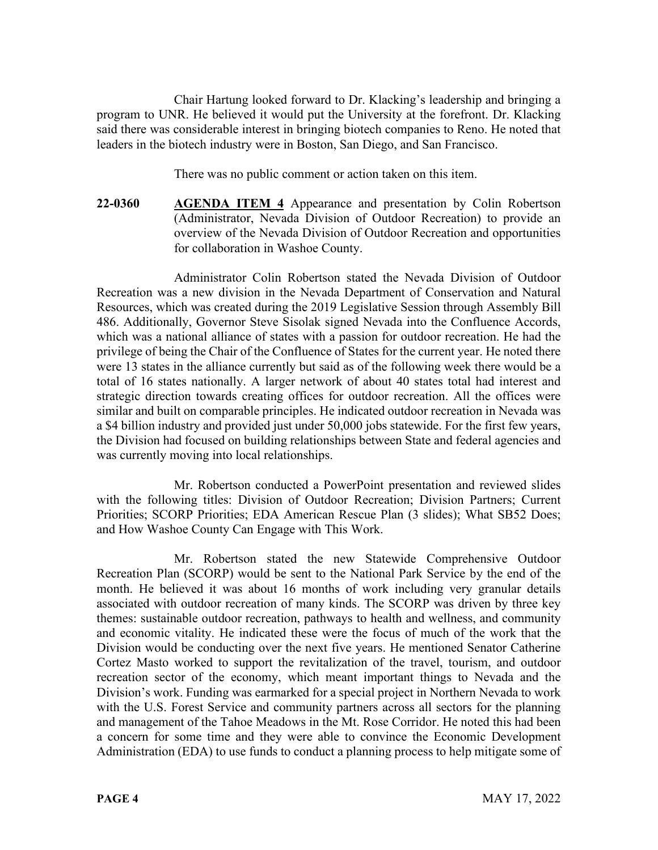Chair Hartung looked forward to Dr. Klacking's leadership and bringing a program to UNR. He believed it would put the University at the forefront. Dr. Klacking said there was considerable interest in bringing biotech companies to Reno. He noted that leaders in the biotech industry were in Boston, San Diego, and San Francisco.

There was no public comment or action taken on this item.

22-0360 **AGENDA ITEM 4** Appearance and presentation by Colin Robertson (Administrator, Nevada Division of Outdoor Recreation) to provide an overview of the Nevada Division of Outdoor Recreation and opportunities for collaboration in Washoe County.

Administrator Colin Robertson stated the Nevada Division of Outdoor Recreation was a new division in the Nevada Department of Conservation and Natural Resources, which was created during the 2019 Legislative Session through Assembly Bill 486. Additionally, Governor Steve Sisolak signed Nevada into the Confluence Accords, which was a national alliance of states with a passion for outdoor recreation. He had the privilege of being the Chair of the Confluence of States for the current year. He noted there were 13 states in the alliance currently but said as of the following week there would be a total of 16 states nationally. A larger network of about 40 states total had interest and strategic direction towards creating offices for outdoor recreation. All the offices were similar and built on comparable principles. He indicated outdoor recreation in Nevada was a \$4 billion industry and provided just under 50,000 jobs statewide. For the first few years, the Division had focused on building relationships between State and federal agencies and was currently moving into local relationships.

Mr. Robertson conducted a PowerPoint presentation and reviewed slides with the following titles: Division of Outdoor Recreation; Division Partners; Current Priorities; SCORP Priorities; EDA American Rescue Plan (3 slides); What SB52 Does; and How Washoe County Can Engage with This Work.

Mr. Robertson stated the new Statewide Comprehensive Outdoor Recreation Plan (SCORP) would be sent to the National Park Service by the end of the month. He believed it was about 16 months of work including very granular details associated with outdoor recreation of many kinds. The SCORP was driven by three key themes: sustainable outdoor recreation, pathways to health and wellness, and community and economic vitality. He indicated these were the focus of much of the work that the Division would be conducting over the next five years. He mentioned Senator Catherine Cortez Masto worked to support the revitalization of the travel, tourism, and outdoor recreation sector of the economy, which meant important things to Nevada and the Division's work. Funding was earmarked for a special project in Northern Nevada to work with the U.S. Forest Service and community partners across all sectors for the planning and management of the Tahoe Meadows in the Mt. Rose Corridor. He noted this had been a concern for some time and they were able to convince the Economic Development Administration (EDA) to use funds to conduct a planning process to help mitigate some of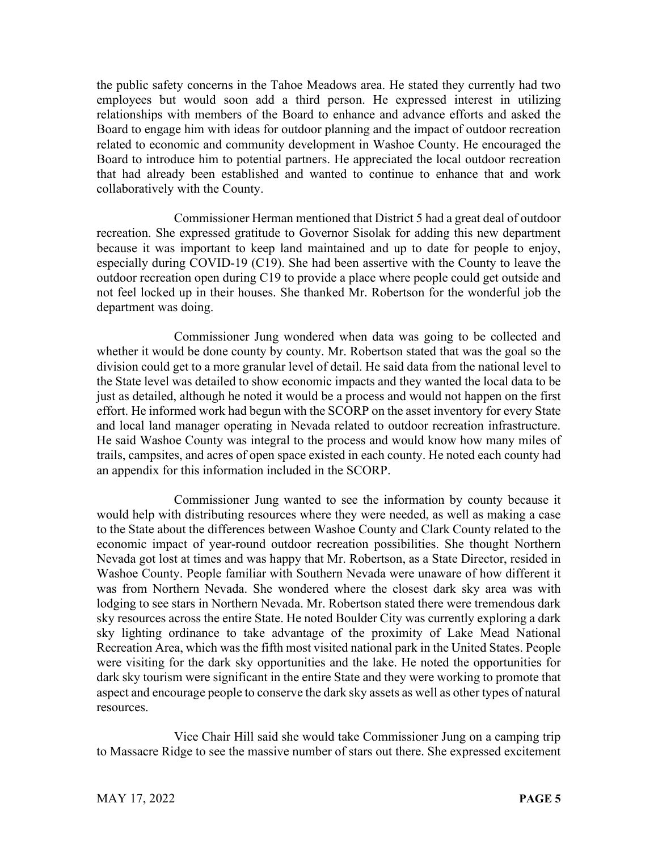the public safety concerns in the Tahoe Meadows area. He stated they currently had two employees but would soon add a third person. He expressed interest in utilizing relationships with members of the Board to enhance and advance efforts and asked the Board to engage him with ideas for outdoor planning and the impact of outdoor recreation related to economic and community development in Washoe County. He encouraged the Board to introduce him to potential partners. He appreciated the local outdoor recreation that had already been established and wanted to continue to enhance that and work collaboratively with the County.

Commissioner Herman mentioned that District 5 had a great deal of outdoor recreation. She expressed gratitude to Governor Sisolak for adding this new department because it was important to keep land maintained and up to date for people to enjoy, especially during COVID-19 (C19). She had been assertive with the County to leave the outdoor recreation open during C19 to provide a place where people could get outside and not feel locked up in their houses. She thanked Mr. Robertson for the wonderful job the department was doing.

Commissioner Jung wondered when data was going to be collected and whether it would be done county by county. Mr. Robertson stated that was the goal so the division could get to a more granular level of detail. He said data from the national level to the State level was detailed to show economic impacts and they wanted the local data to be just as detailed, although he noted it would be a process and would not happen on the first effort. He informed work had begun with the SCORP on the asset inventory for every State and local land manager operating in Nevada related to outdoor recreation infrastructure. He said Washoe County was integral to the process and would know how many miles of trails, campsites, and acres of open space existed in each county. He noted each county had an appendix for this information included in the SCORP.

Commissioner Jung wanted to see the information by county because it would help with distributing resources where they were needed, as well as making a case to the State about the differences between Washoe County and Clark County related to the economic impact of year-round outdoor recreation possibilities. She thought Northern Nevada got lost at times and was happy that Mr. Robertson, as a State Director, resided in Washoe County. People familiar with Southern Nevada were unaware of how different it was from Northern Nevada. She wondered where the closest dark sky area was with lodging to see stars in Northern Nevada. Mr. Robertson stated there were tremendous dark sky resources across the entire State. He noted Boulder City was currently exploring a dark sky lighting ordinance to take advantage of the proximity of Lake Mead National Recreation Area, which was the fifth most visited national park in the United States. People were visiting for the dark sky opportunities and the lake. He noted the opportunities for dark sky tourism were significant in the entire State and they were working to promote that aspect and encourage people to conserve the dark sky assets as well as other types of natural resources.

Vice Chair Hill said she would take Commissioner Jung on a camping trip to Massacre Ridge to see the massive number of stars out there. She expressed excitement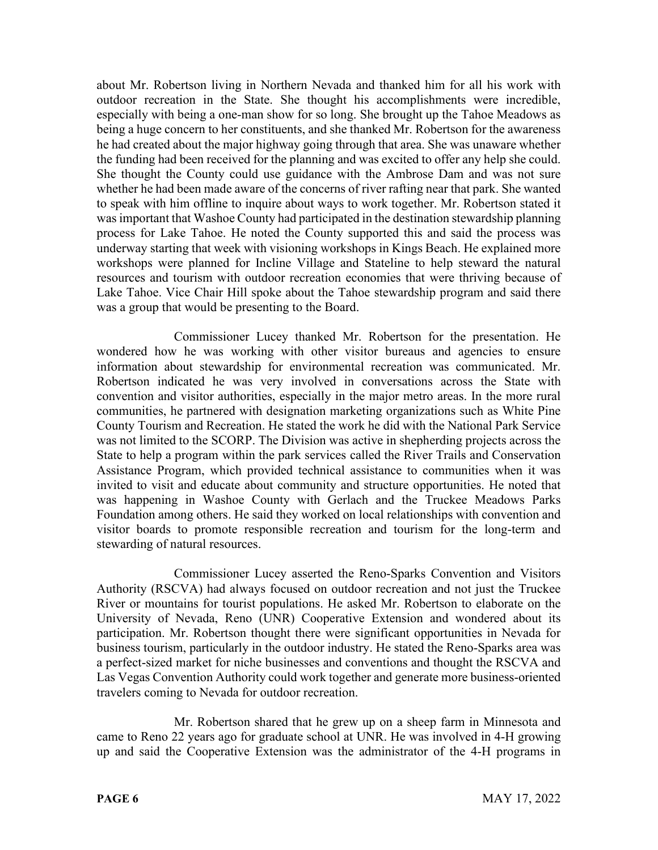about Mr. Robertson living in Northern Nevada and thanked him for all his work with outdoor recreation in the State. She thought his accomplishments were incredible, especially with being a one-man show for so long. She brought up the Tahoe Meadows as being a huge concern to her constituents, and she thanked Mr. Robertson for the awareness he had created about the major highway going through that area. She was unaware whether the funding had been received for the planning and was excited to offer any help she could. She thought the County could use guidance with the Ambrose Dam and was not sure whether he had been made aware of the concerns of river rafting near that park. She wanted to speak with him offline to inquire about ways to work together. Mr. Robertson stated it was important that Washoe County had participated in the destination stewardship planning process for Lake Tahoe. He noted the County supported this and said the process was underway starting that week with visioning workshops in Kings Beach. He explained more workshops were planned for Incline Village and Stateline to help steward the natural resources and tourism with outdoor recreation economies that were thriving because of Lake Tahoe. Vice Chair Hill spoke about the Tahoe stewardship program and said there was a group that would be presenting to the Board.

Commissioner Lucey thanked Mr. Robertson for the presentation. He wondered how he was working with other visitor bureaus and agencies to ensure information about stewardship for environmental recreation was communicated. Mr. Robertson indicated he was very involved in conversations across the State with convention and visitor authorities, especially in the major metro areas. In the more rural communities, he partnered with designation marketing organizations such as White Pine County Tourism and Recreation. He stated the work he did with the National Park Service was not limited to the SCORP. The Division was active in shepherding projects across the State to help a program within the park services called the River Trails and Conservation Assistance Program, which provided technical assistance to communities when it was invited to visit and educate about community and structure opportunities. He noted that was happening in Washoe County with Gerlach and the Truckee Meadows Parks Foundation among others. He said they worked on local relationships with convention and visitor boards to promote responsible recreation and tourism for the long-term and stewarding of natural resources.

Commissioner Lucey asserted the Reno-Sparks Convention and Visitors Authority (RSCVA) had always focused on outdoor recreation and not just the Truckee River or mountains for tourist populations. He asked Mr. Robertson to elaborate on the University of Nevada, Reno (UNR) Cooperative Extension and wondered about its participation. Mr. Robertson thought there were significant opportunities in Nevada for business tourism, particularly in the outdoor industry. He stated the Reno-Sparks area was a perfect-sized market for niche businesses and conventions and thought the RSCVA and Las Vegas Convention Authority could work together and generate more business-oriented travelers coming to Nevada for outdoor recreation.

Mr. Robertson shared that he grew up on a sheep farm in Minnesota and came to Reno 22 years ago for graduate school at UNR. He was involved in 4-H growing up and said the Cooperative Extension was the administrator of the 4-H programs in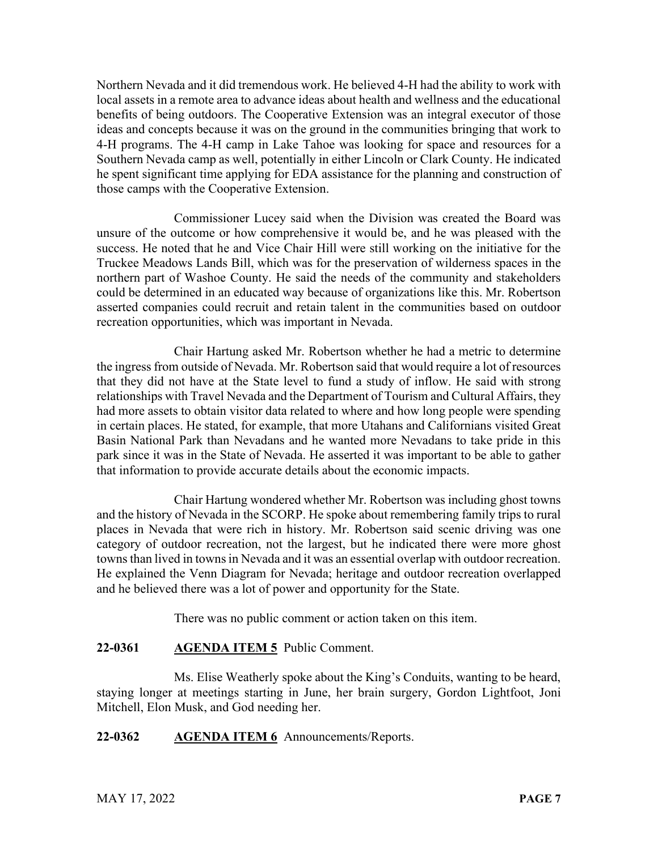Northern Nevada and it did tremendous work. He believed 4-H had the ability to work with local assets in a remote area to advance ideas about health and wellness and the educational benefits of being outdoors. The Cooperative Extension was an integral executor of those ideas and concepts because it was on the ground in the communities bringing that work to 4-H programs. The 4-H camp in Lake Tahoe was looking for space and resources for a Southern Nevada camp as well, potentially in either Lincoln or Clark County. He indicated he spent significant time applying for EDA assistance for the planning and construction of those camps with the Cooperative Extension.

Commissioner Lucey said when the Division was created the Board was unsure of the outcome or how comprehensive it would be, and he was pleased with the success. He noted that he and Vice Chair Hill were still working on the initiative for the Truckee Meadows Lands Bill, which was for the preservation of wilderness spaces in the northern part of Washoe County. He said the needs of the community and stakeholders could be determined in an educated way because of organizations like this. Mr. Robertson asserted companies could recruit and retain talent in the communities based on outdoor recreation opportunities, which was important in Nevada.

Chair Hartung asked Mr. Robertson whether he had a metric to determine the ingress from outside of Nevada. Mr. Robertson said that would require a lot of resources that they did not have at the State level to fund a study of inflow. He said with strong relationships with Travel Nevada and the Department of Tourism and Cultural Affairs, they had more assets to obtain visitor data related to where and how long people were spending in certain places. He stated, for example, that more Utahans and Californians visited Great Basin National Park than Nevadans and he wanted more Nevadans to take pride in this park since it was in the State of Nevada. He asserted it was important to be able to gather that information to provide accurate details about the economic impacts.

Chair Hartung wondered whether Mr. Robertson was including ghost towns and the history of Nevada in the SCORP. He spoke about remembering family trips to rural places in Nevada that were rich in history. Mr. Robertson said scenic driving was one category of outdoor recreation, not the largest, but he indicated there were more ghost towns than lived in towns in Nevada and it was an essential overlap with outdoor recreation. He explained the Venn Diagram for Nevada; heritage and outdoor recreation overlapped and he believed there was a lot of power and opportunity for the State.

There was no public comment or action taken on this item.

## **22-0361 AGENDA ITEM 5** Public Comment.

Ms. Elise Weatherly spoke about the King's Conduits, wanting to be heard, staying longer at meetings starting in June, her brain surgery, Gordon Lightfoot, Joni Mitchell, Elon Musk, and God needing her.

## **22-0362 AGENDA ITEM 6** Announcements/Reports.

MAY 17, 2022 **PAGE 7**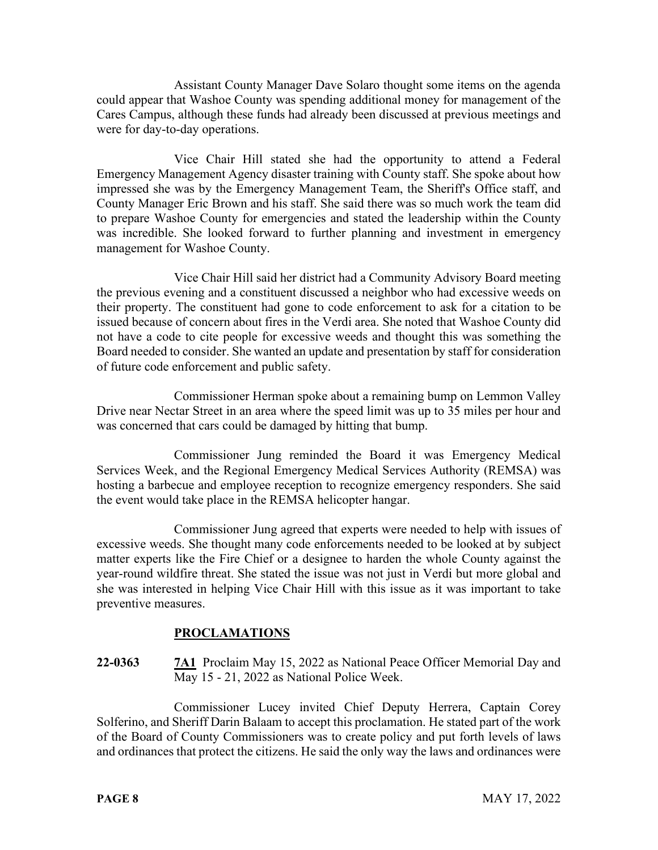Assistant County Manager Dave Solaro thought some items on the agenda could appear that Washoe County was spending additional money for management of the Cares Campus, although these funds had already been discussed at previous meetings and were for day-to-day operations.

Vice Chair Hill stated she had the opportunity to attend a Federal Emergency Management Agency disaster training with County staff. She spoke about how impressed she was by the Emergency Management Team, the Sheriff's Office staff, and County Manager Eric Brown and his staff. She said there was so much work the team did to prepare Washoe County for emergencies and stated the leadership within the County was incredible. She looked forward to further planning and investment in emergency management for Washoe County.

Vice Chair Hill said her district had a Community Advisory Board meeting the previous evening and a constituent discussed a neighbor who had excessive weeds on their property. The constituent had gone to code enforcement to ask for a citation to be issued because of concern about fires in the Verdi area. She noted that Washoe County did not have a code to cite people for excessive weeds and thought this was something the Board needed to consider. She wanted an update and presentation by staff for consideration of future code enforcement and public safety.

Commissioner Herman spoke about a remaining bump on Lemmon Valley Drive near Nectar Street in an area where the speed limit was up to 35 miles per hour and was concerned that cars could be damaged by hitting that bump.

Commissioner Jung reminded the Board it was Emergency Medical Services Week, and the Regional Emergency Medical Services Authority (REMSA) was hosting a barbecue and employee reception to recognize emergency responders. She said the event would take place in the REMSA helicopter hangar.

Commissioner Jung agreed that experts were needed to help with issues of excessive weeds. She thought many code enforcements needed to be looked at by subject matter experts like the Fire Chief or a designee to harden the whole County against the year-round wildfire threat. She stated the issue was not just in Verdi but more global and she was interested in helping Vice Chair Hill with this issue as it was important to take preventive measures.

## **PROCLAMATIONS**

# **22-0363 7A1** Proclaim May 15, 2022 as National Peace Officer Memorial Day and May 15 - 21, 2022 as National Police Week.

Commissioner Lucey invited Chief Deputy Herrera, Captain Corey Solferino, and Sheriff Darin Balaam to accept this proclamation. He stated part of the work of the Board of County Commissioners was to create policy and put forth levels of laws and ordinances that protect the citizens. He said the only way the laws and ordinances were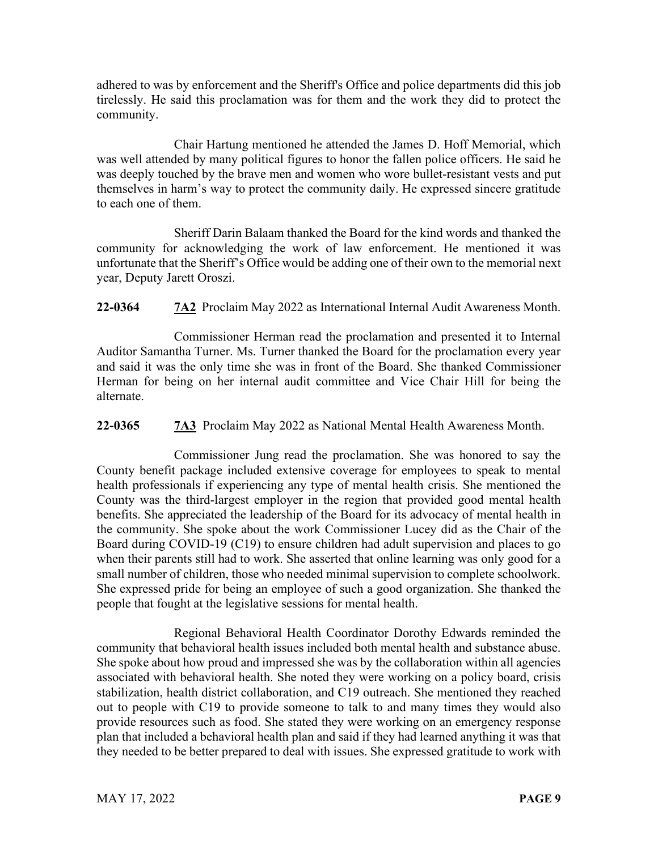adhered to was by enforcement and the Sheriff's Office and police departments did this job tirelessly. He said this proclamation was for them and the work they did to protect the community.

Chair Hartung mentioned he attended the James D. Hoff Memorial, which was well attended by many political figures to honor the fallen police officers. He said he was deeply touched by the brave men and women who wore bullet-resistant vests and put themselves in harm's way to protect the community daily. He expressed sincere gratitude to each one of them.

Sheriff Darin Balaam thanked the Board for the kind words and thanked the community for acknowledging the work of law enforcement. He mentioned it was unfortunate that the Sheriff's Office would be adding one of their own to the memorial next year, Deputy Jarett Oroszi.

**22-0364 7A2** Proclaim May 2022 as International Internal Audit Awareness Month.

Commissioner Herman read the proclamation and presented it to Internal Auditor Samantha Turner. Ms. Turner thanked the Board for the proclamation every year and said it was the only time she was in front of the Board. She thanked Commissioner Herman for being on her internal audit committee and Vice Chair Hill for being the alternate.

**22-0365 7A3** Proclaim May 2022 as National Mental Health Awareness Month.

Commissioner Jung read the proclamation. She was honored to say the County benefit package included extensive coverage for employees to speak to mental health professionals if experiencing any type of mental health crisis. She mentioned the County was the third-largest employer in the region that provided good mental health benefits. She appreciated the leadership of the Board for its advocacy of mental health in the community. She spoke about the work Commissioner Lucey did as the Chair of the Board during COVID-19 (C19) to ensure children had adult supervision and places to go when their parents still had to work. She asserted that online learning was only good for a small number of children, those who needed minimal supervision to complete schoolwork. She expressed pride for being an employee of such a good organization. She thanked the people that fought at the legislative sessions for mental health.

Regional Behavioral Health Coordinator Dorothy Edwards reminded the community that behavioral health issues included both mental health and substance abuse. She spoke about how proud and impressed she was by the collaboration within all agencies associated with behavioral health. She noted they were working on a policy board, crisis stabilization, health district collaboration, and C19 outreach. She mentioned they reached out to people with C19 to provide someone to talk to and many times they would also provide resources such as food. She stated they were working on an emergency response plan that included a behavioral health plan and said if they had learned anything it was that they needed to be better prepared to deal with issues. She expressed gratitude to work with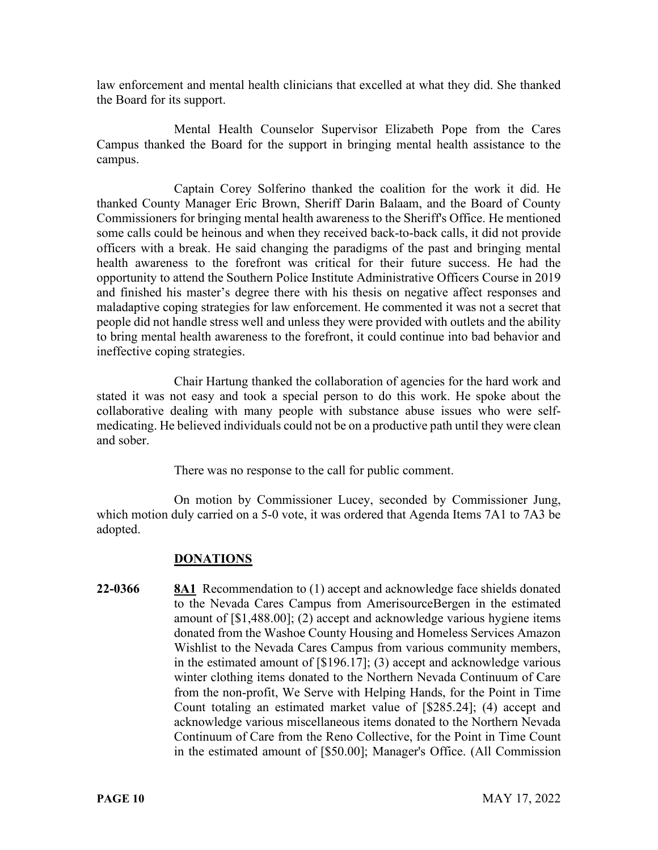law enforcement and mental health clinicians that excelled at what they did. She thanked the Board for its support.

Mental Health Counselor Supervisor Elizabeth Pope from the Cares Campus thanked the Board for the support in bringing mental health assistance to the campus.

Captain Corey Solferino thanked the coalition for the work it did. He thanked County Manager Eric Brown, Sheriff Darin Balaam, and the Board of County Commissioners for bringing mental health awareness to the Sheriff's Office. He mentioned some calls could be heinous and when they received back-to-back calls, it did not provide officers with a break. He said changing the paradigms of the past and bringing mental health awareness to the forefront was critical for their future success. He had the opportunity to attend the Southern Police Institute Administrative Officers Course in 2019 and finished his master's degree there with his thesis on negative affect responses and maladaptive coping strategies for law enforcement. He commented it was not a secret that people did not handle stress well and unless they were provided with outlets and the ability to bring mental health awareness to the forefront, it could continue into bad behavior and ineffective coping strategies.

Chair Hartung thanked the collaboration of agencies for the hard work and stated it was not easy and took a special person to do this work. He spoke about the collaborative dealing with many people with substance abuse issues who were selfmedicating. He believed individuals could not be on a productive path until they were clean and sober.

There was no response to the call for public comment.

On motion by Commissioner Lucey, seconded by Commissioner Jung, which motion duly carried on a 5-0 vote, it was ordered that Agenda Items 7A1 to 7A3 be adopted.

## **DONATIONS**

**22-0366 8A1** Recommendation to (1) accept and acknowledge face shields donated to the Nevada Cares Campus from AmerisourceBergen in the estimated amount of [\$1,488.00]; (2) accept and acknowledge various hygiene items donated from the Washoe County Housing and Homeless Services Amazon Wishlist to the Nevada Cares Campus from various community members, in the estimated amount of [\$196.17]; (3) accept and acknowledge various winter clothing items donated to the Northern Nevada Continuum of Care from the non-profit, We Serve with Helping Hands, for the Point in Time Count totaling an estimated market value of [\$285.24]; (4) accept and acknowledge various miscellaneous items donated to the Northern Nevada Continuum of Care from the Reno Collective, for the Point in Time Count in the estimated amount of [\$50.00]; Manager's Office. (All Commission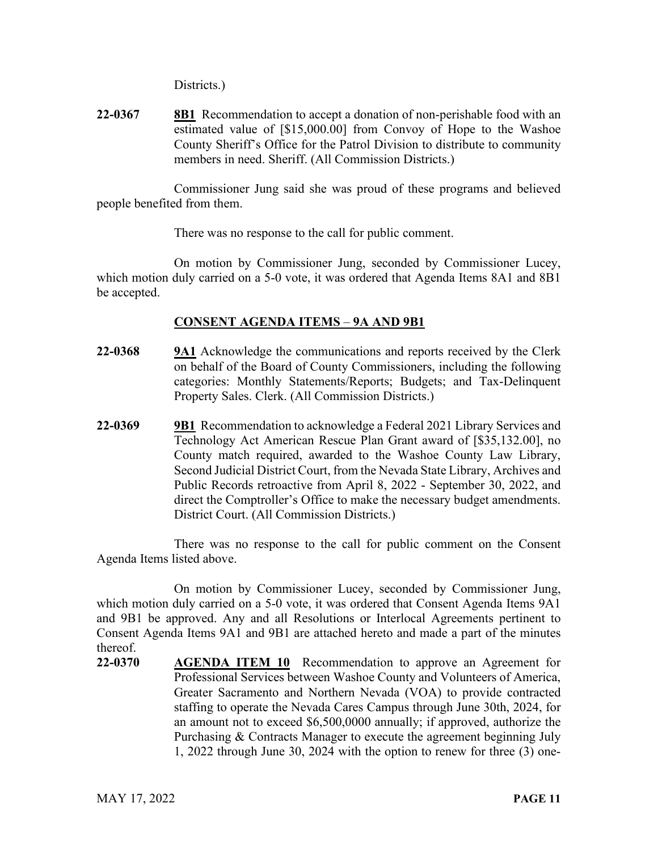Districts.)

**22-0367 8B1** Recommendation to accept a donation of non-perishable food with an estimated value of [\$15,000.00] from Convoy of Hope to the Washoe County Sheriff's Office for the Patrol Division to distribute to community members in need. Sheriff. (All Commission Districts.)

Commissioner Jung said she was proud of these programs and believed people benefited from them.

There was no response to the call for public comment.

On motion by Commissioner Jung, seconded by Commissioner Lucey, which motion duly carried on a 5-0 vote, it was ordered that Agenda Items 8A1 and 8B1 be accepted.

## **CONSENT AGENDA ITEMS** – **9A AND 9B1**

- **22-0368 9A1** Acknowledge the communications and reports received by the Clerk on behalf of the Board of County Commissioners, including the following categories: Monthly Statements/Reports; Budgets; and Tax-Delinquent Property Sales. Clerk. (All Commission Districts.)
- **22-0369 9B1** Recommendation to acknowledge a Federal 2021 Library Services and Technology Act American Rescue Plan Grant award of [\$35,132.00], no County match required, awarded to the Washoe County Law Library, Second Judicial District Court, from the Nevada State Library, Archives and Public Records retroactive from April 8, 2022 - September 30, 2022, and direct the Comptroller's Office to make the necessary budget amendments. District Court. (All Commission Districts.)

There was no response to the call for public comment on the Consent Agenda Items listed above.

On motion by Commissioner Lucey, seconded by Commissioner Jung, which motion duly carried on a 5-0 vote, it was ordered that Consent Agenda Items 9A1 and 9B1 be approved. Any and all Resolutions or Interlocal Agreements pertinent to Consent Agenda Items 9A1 and 9B1 are attached hereto and made a part of the minutes thereof.

**22-0370 AGENDA ITEM 10** Recommendation to approve an Agreement for Professional Services between Washoe County and Volunteers of America, Greater Sacramento and Northern Nevada (VOA) to provide contracted staffing to operate the Nevada Cares Campus through June 30th, 2024, for an amount not to exceed \$6,500,0000 annually; if approved, authorize the Purchasing & Contracts Manager to execute the agreement beginning July 1, 2022 through June 30, 2024 with the option to renew for three (3) one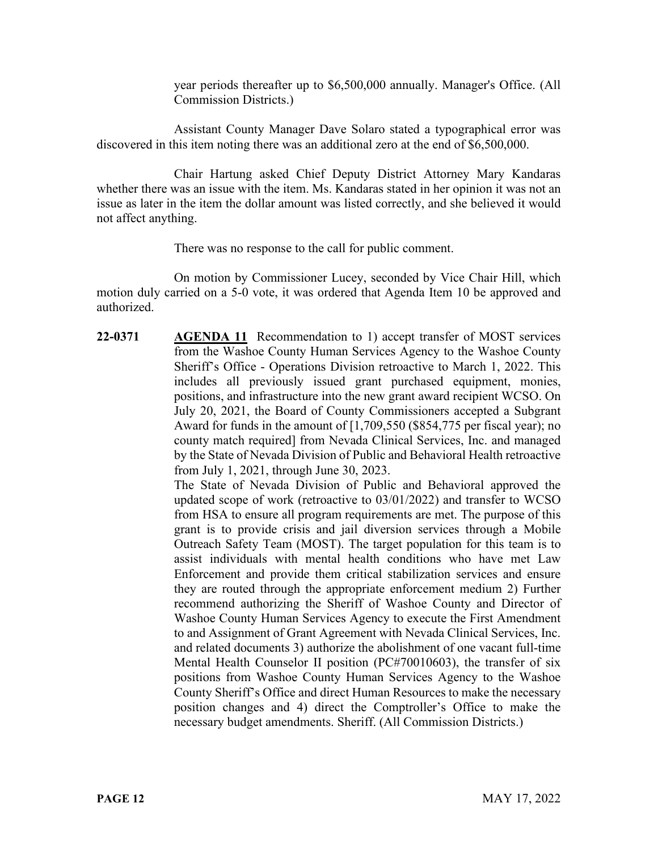year periods thereafter up to \$6,500,000 annually. Manager's Office. (All Commission Districts.)

Assistant County Manager Dave Solaro stated a typographical error was discovered in this item noting there was an additional zero at the end of \$6,500,000.

Chair Hartung asked Chief Deputy District Attorney Mary Kandaras whether there was an issue with the item. Ms. Kandaras stated in her opinion it was not an issue as later in the item the dollar amount was listed correctly, and she believed it would not affect anything.

There was no response to the call for public comment.

On motion by Commissioner Lucey, seconded by Vice Chair Hill, which motion duly carried on a 5-0 vote, it was ordered that Agenda Item 10 be approved and authorized.

**22-0371 AGENDA 11** Recommendation to 1) accept transfer of MOST services from the Washoe County Human Services Agency to the Washoe County Sheriff's Office - Operations Division retroactive to March 1, 2022. This includes all previously issued grant purchased equipment, monies, positions, and infrastructure into the new grant award recipient WCSO. On July 20, 2021, the Board of County Commissioners accepted a Subgrant Award for funds in the amount of [1,709,550 (\$854,775 per fiscal year); no county match required] from Nevada Clinical Services, Inc. and managed by the State of Nevada Division of Public and Behavioral Health retroactive from July 1, 2021, through June 30, 2023.

The State of Nevada Division of Public and Behavioral approved the updated scope of work (retroactive to 03/01/2022) and transfer to WCSO from HSA to ensure all program requirements are met. The purpose of this grant is to provide crisis and jail diversion services through a Mobile Outreach Safety Team (MOST). The target population for this team is to assist individuals with mental health conditions who have met Law Enforcement and provide them critical stabilization services and ensure they are routed through the appropriate enforcement medium 2) Further recommend authorizing the Sheriff of Washoe County and Director of Washoe County Human Services Agency to execute the First Amendment to and Assignment of Grant Agreement with Nevada Clinical Services, Inc. and related documents 3) authorize the abolishment of one vacant full-time Mental Health Counselor II position (PC#70010603), the transfer of six positions from Washoe County Human Services Agency to the Washoe County Sheriff's Office and direct Human Resources to make the necessary position changes and 4) direct the Comptroller's Office to make the necessary budget amendments. Sheriff. (All Commission Districts.)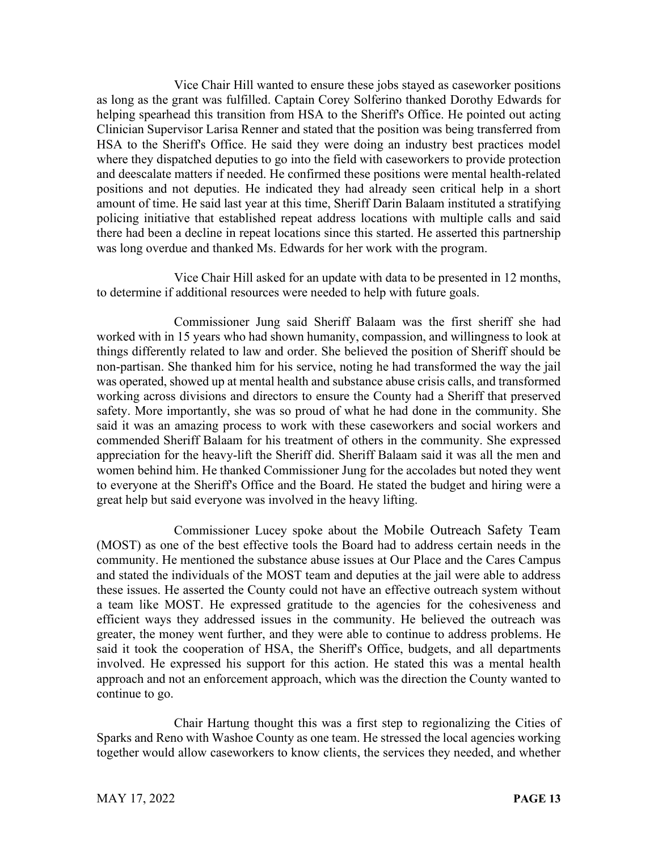Vice Chair Hill wanted to ensure these jobs stayed as caseworker positions as long as the grant was fulfilled. Captain Corey Solferino thanked Dorothy Edwards for helping spearhead this transition from HSA to the Sheriff's Office. He pointed out acting Clinician Supervisor Larisa Renner and stated that the position was being transferred from HSA to the Sheriff's Office. He said they were doing an industry best practices model where they dispatched deputies to go into the field with caseworkers to provide protection and deescalate matters if needed. He confirmed these positions were mental health-related positions and not deputies. He indicated they had already seen critical help in a short amount of time. He said last year at this time, Sheriff Darin Balaam instituted a stratifying policing initiative that established repeat address locations with multiple calls and said there had been a decline in repeat locations since this started. He asserted this partnership was long overdue and thanked Ms. Edwards for her work with the program.

Vice Chair Hill asked for an update with data to be presented in 12 months, to determine if additional resources were needed to help with future goals.

Commissioner Jung said Sheriff Balaam was the first sheriff she had worked with in 15 years who had shown humanity, compassion, and willingness to look at things differently related to law and order. She believed the position of Sheriff should be non-partisan. She thanked him for his service, noting he had transformed the way the jail was operated, showed up at mental health and substance abuse crisis calls, and transformed working across divisions and directors to ensure the County had a Sheriff that preserved safety. More importantly, she was so proud of what he had done in the community. She said it was an amazing process to work with these caseworkers and social workers and commended Sheriff Balaam for his treatment of others in the community. She expressed appreciation for the heavy-lift the Sheriff did. Sheriff Balaam said it was all the men and women behind him. He thanked Commissioner Jung for the accolades but noted they went to everyone at the Sheriff's Office and the Board. He stated the budget and hiring were a great help but said everyone was involved in the heavy lifting.

Commissioner Lucey spoke about the Mobile Outreach Safety Team (MOST) as one of the best effective tools the Board had to address certain needs in the community. He mentioned the substance abuse issues at Our Place and the Cares Campus and stated the individuals of the MOST team and deputies at the jail were able to address these issues. He asserted the County could not have an effective outreach system without a team like MOST. He expressed gratitude to the agencies for the cohesiveness and efficient ways they addressed issues in the community. He believed the outreach was greater, the money went further, and they were able to continue to address problems. He said it took the cooperation of HSA, the Sheriff's Office, budgets, and all departments involved. He expressed his support for this action. He stated this was a mental health approach and not an enforcement approach, which was the direction the County wanted to continue to go.

Chair Hartung thought this was a first step to regionalizing the Cities of Sparks and Reno with Washoe County as one team. He stressed the local agencies working together would allow caseworkers to know clients, the services they needed, and whether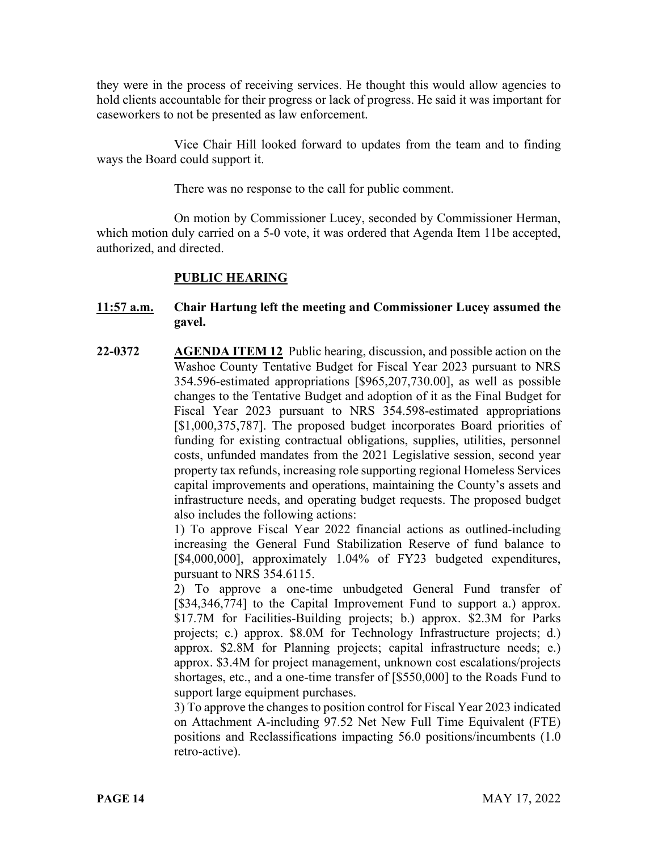they were in the process of receiving services. He thought this would allow agencies to hold clients accountable for their progress or lack of progress. He said it was important for caseworkers to not be presented as law enforcement.

Vice Chair Hill looked forward to updates from the team and to finding ways the Board could support it.

There was no response to the call for public comment.

On motion by Commissioner Lucey, seconded by Commissioner Herman, which motion duly carried on a 5-0 vote, it was ordered that Agenda Item 11be accepted, authorized, and directed.

## **PUBLIC HEARING**

#### **11:57 a.m. Chair Hartung left the meeting and Commissioner Lucey assumed the gavel.**

**22-0372 AGENDA ITEM 12** Public hearing, discussion, and possible action on the Washoe County Tentative Budget for Fiscal Year 2023 pursuant to NRS 354.596-estimated appropriations [\$965,207,730.00], as well as possible changes to the Tentative Budget and adoption of it as the Final Budget for Fiscal Year 2023 pursuant to NRS 354.598-estimated appropriations [\$1,000,375,787]. The proposed budget incorporates Board priorities of funding for existing contractual obligations, supplies, utilities, personnel costs, unfunded mandates from the 2021 Legislative session, second year property tax refunds, increasing role supporting regional Homeless Services capital improvements and operations, maintaining the County's assets and infrastructure needs, and operating budget requests. The proposed budget also includes the following actions:

1) To approve Fiscal Year 2022 financial actions as outlined-including increasing the General Fund Stabilization Reserve of fund balance to [\$4,000,000], approximately 1.04% of FY23 budgeted expenditures, pursuant to NRS 354.6115.

2) To approve a one-time unbudgeted General Fund transfer of [\$34,346,774] to the Capital Improvement Fund to support a.) approx. \$17.7M for Facilities-Building projects; b.) approx. \$2.3M for Parks projects; c.) approx. \$8.0M for Technology Infrastructure projects; d.) approx. \$2.8M for Planning projects; capital infrastructure needs; e.) approx. \$3.4M for project management, unknown cost escalations/projects shortages, etc., and a one-time transfer of [\$550,000] to the Roads Fund to support large equipment purchases.

3) To approve the changes to position control for Fiscal Year 2023 indicated on Attachment A-including 97.52 Net New Full Time Equivalent (FTE) positions and Reclassifications impacting 56.0 positions/incumbents (1.0 retro-active).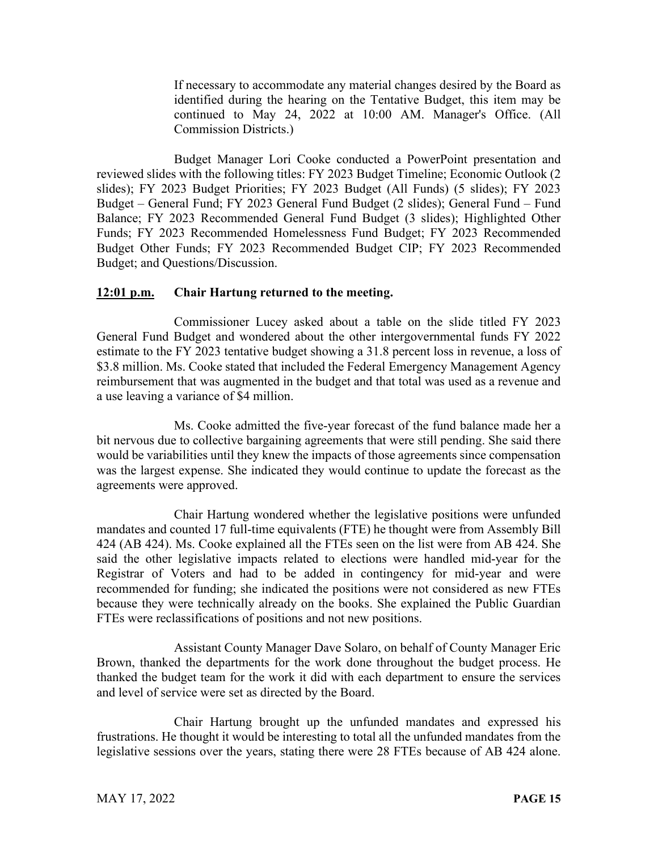If necessary to accommodate any material changes desired by the Board as identified during the hearing on the Tentative Budget, this item may be continued to May 24, 2022 at 10:00 AM. Manager's Office. (All Commission Districts.)

Budget Manager Lori Cooke conducted a PowerPoint presentation and reviewed slides with the following titles: FY 2023 Budget Timeline; Economic Outlook (2 slides); FY 2023 Budget Priorities; FY 2023 Budget (All Funds) (5 slides); FY 2023 Budget – General Fund; FY 2023 General Fund Budget (2 slides); General Fund – Fund Balance; FY 2023 Recommended General Fund Budget (3 slides); Highlighted Other Funds; FY 2023 Recommended Homelessness Fund Budget; FY 2023 Recommended Budget Other Funds; FY 2023 Recommended Budget CIP; FY 2023 Recommended Budget; and Questions/Discussion.

#### **12:01 p.m. Chair Hartung returned to the meeting.**

Commissioner Lucey asked about a table on the slide titled FY 2023 General Fund Budget and wondered about the other intergovernmental funds FY 2022 estimate to the FY 2023 tentative budget showing a 31.8 percent loss in revenue, a loss of \$3.8 million. Ms. Cooke stated that included the Federal Emergency Management Agency reimbursement that was augmented in the budget and that total was used as a revenue and a use leaving a variance of \$4 million.

Ms. Cooke admitted the five-year forecast of the fund balance made her a bit nervous due to collective bargaining agreements that were still pending. She said there would be variabilities until they knew the impacts of those agreements since compensation was the largest expense. She indicated they would continue to update the forecast as the agreements were approved.

Chair Hartung wondered whether the legislative positions were unfunded mandates and counted 17 full-time equivalents (FTE) he thought were from Assembly Bill 424 (AB 424). Ms. Cooke explained all the FTEs seen on the list were from AB 424. She said the other legislative impacts related to elections were handled mid-year for the Registrar of Voters and had to be added in contingency for mid-year and were recommended for funding; she indicated the positions were not considered as new FTEs because they were technically already on the books. She explained the Public Guardian FTEs were reclassifications of positions and not new positions.

Assistant County Manager Dave Solaro, on behalf of County Manager Eric Brown, thanked the departments for the work done throughout the budget process. He thanked the budget team for the work it did with each department to ensure the services and level of service were set as directed by the Board.

Chair Hartung brought up the unfunded mandates and expressed his frustrations. He thought it would be interesting to total all the unfunded mandates from the legislative sessions over the years, stating there were 28 FTEs because of AB 424 alone.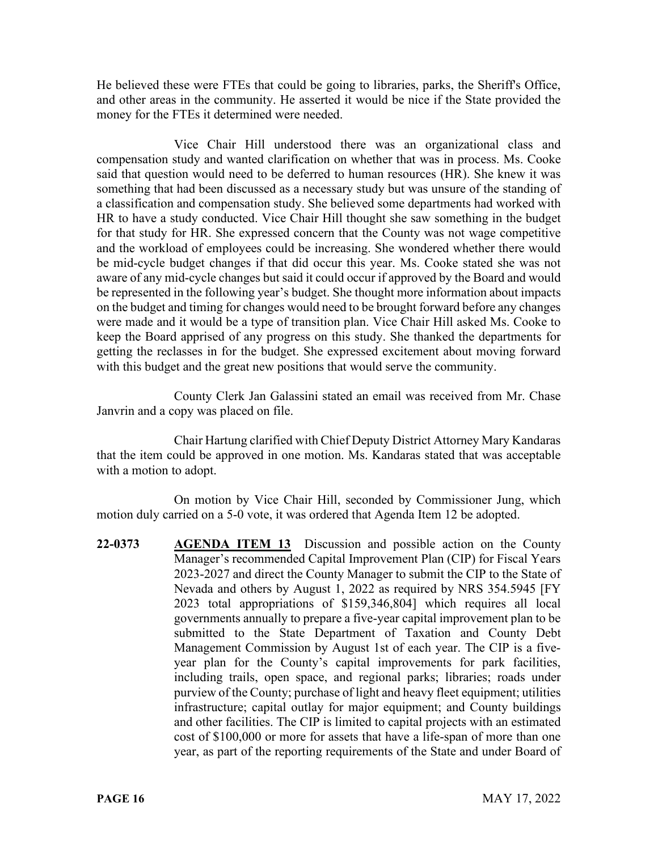He believed these were FTEs that could be going to libraries, parks, the Sheriff's Office, and other areas in the community. He asserted it would be nice if the State provided the money for the FTEs it determined were needed.

Vice Chair Hill understood there was an organizational class and compensation study and wanted clarification on whether that was in process. Ms. Cooke said that question would need to be deferred to human resources (HR). She knew it was something that had been discussed as a necessary study but was unsure of the standing of a classification and compensation study. She believed some departments had worked with HR to have a study conducted. Vice Chair Hill thought she saw something in the budget for that study for HR. She expressed concern that the County was not wage competitive and the workload of employees could be increasing. She wondered whether there would be mid-cycle budget changes if that did occur this year. Ms. Cooke stated she was not aware of any mid-cycle changes but said it could occur if approved by the Board and would be represented in the following year's budget. She thought more information about impacts on the budget and timing for changes would need to be brought forward before any changes were made and it would be a type of transition plan. Vice Chair Hill asked Ms. Cooke to keep the Board apprised of any progress on this study. She thanked the departments for getting the reclasses in for the budget. She expressed excitement about moving forward with this budget and the great new positions that would serve the community.

County Clerk Jan Galassini stated an email was received from Mr. Chase Janvrin and a copy was placed on file.

Chair Hartung clarified with Chief Deputy District Attorney Mary Kandaras that the item could be approved in one motion. Ms. Kandaras stated that was acceptable with a motion to adopt.

On motion by Vice Chair Hill, seconded by Commissioner Jung, which motion duly carried on a 5-0 vote, it was ordered that Agenda Item 12 be adopted.

**22-0373 AGENDA ITEM 13** Discussion and possible action on the County Manager's recommended Capital Improvement Plan (CIP) for Fiscal Years 2023-2027 and direct the County Manager to submit the CIP to the State of Nevada and others by August 1, 2022 as required by NRS 354.5945 [FY 2023 total appropriations of \$159,346,804] which requires all local governments annually to prepare a five-year capital improvement plan to be submitted to the State Department of Taxation and County Debt Management Commission by August 1st of each year. The CIP is a fiveyear plan for the County's capital improvements for park facilities, including trails, open space, and regional parks; libraries; roads under purview of the County; purchase of light and heavy fleet equipment; utilities infrastructure; capital outlay for major equipment; and County buildings and other facilities. The CIP is limited to capital projects with an estimated cost of \$100,000 or more for assets that have a life-span of more than one year, as part of the reporting requirements of the State and under Board of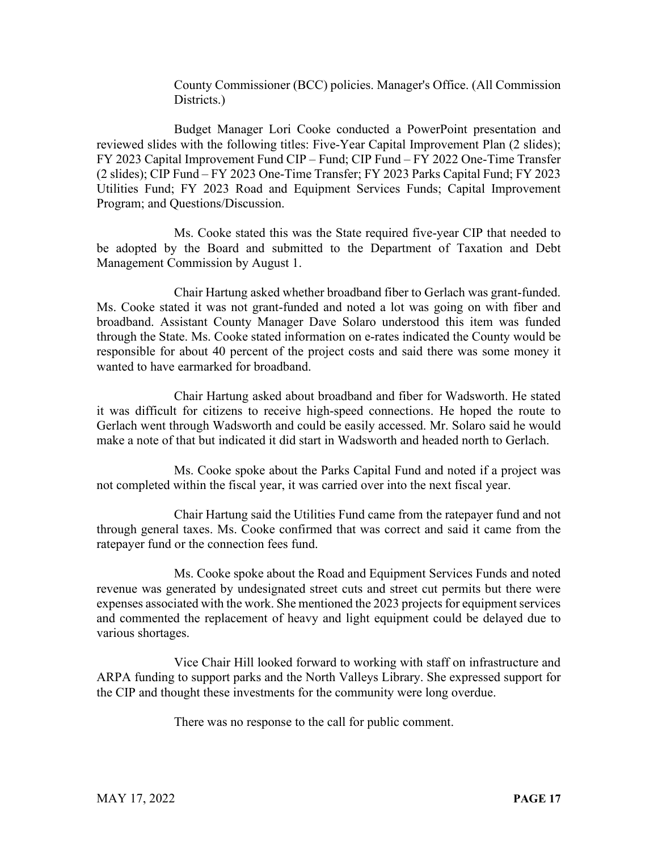County Commissioner (BCC) policies. Manager's Office. (All Commission Districts.)

Budget Manager Lori Cooke conducted a PowerPoint presentation and reviewed slides with the following titles: Five-Year Capital Improvement Plan (2 slides); FY 2023 Capital Improvement Fund CIP – Fund; CIP Fund – FY 2022 One-Time Transfer (2 slides); CIP Fund – FY 2023 One-Time Transfer; FY 2023 Parks Capital Fund; FY 2023 Utilities Fund; FY 2023 Road and Equipment Services Funds; Capital Improvement Program; and Questions/Discussion.

Ms. Cooke stated this was the State required five-year CIP that needed to be adopted by the Board and submitted to the Department of Taxation and Debt Management Commission by August 1.

Chair Hartung asked whether broadband fiber to Gerlach was grant-funded. Ms. Cooke stated it was not grant-funded and noted a lot was going on with fiber and broadband. Assistant County Manager Dave Solaro understood this item was funded through the State. Ms. Cooke stated information on e-rates indicated the County would be responsible for about 40 percent of the project costs and said there was some money it wanted to have earmarked for broadband.

Chair Hartung asked about broadband and fiber for Wadsworth. He stated it was difficult for citizens to receive high-speed connections. He hoped the route to Gerlach went through Wadsworth and could be easily accessed. Mr. Solaro said he would make a note of that but indicated it did start in Wadsworth and headed north to Gerlach.

Ms. Cooke spoke about the Parks Capital Fund and noted if a project was not completed within the fiscal year, it was carried over into the next fiscal year.

Chair Hartung said the Utilities Fund came from the ratepayer fund and not through general taxes. Ms. Cooke confirmed that was correct and said it came from the ratepayer fund or the connection fees fund.

Ms. Cooke spoke about the Road and Equipment Services Funds and noted revenue was generated by undesignated street cuts and street cut permits but there were expenses associated with the work. She mentioned the 2023 projects for equipment services and commented the replacement of heavy and light equipment could be delayed due to various shortages.

Vice Chair Hill looked forward to working with staff on infrastructure and ARPA funding to support parks and the North Valleys Library. She expressed support for the CIP and thought these investments for the community were long overdue.

There was no response to the call for public comment.